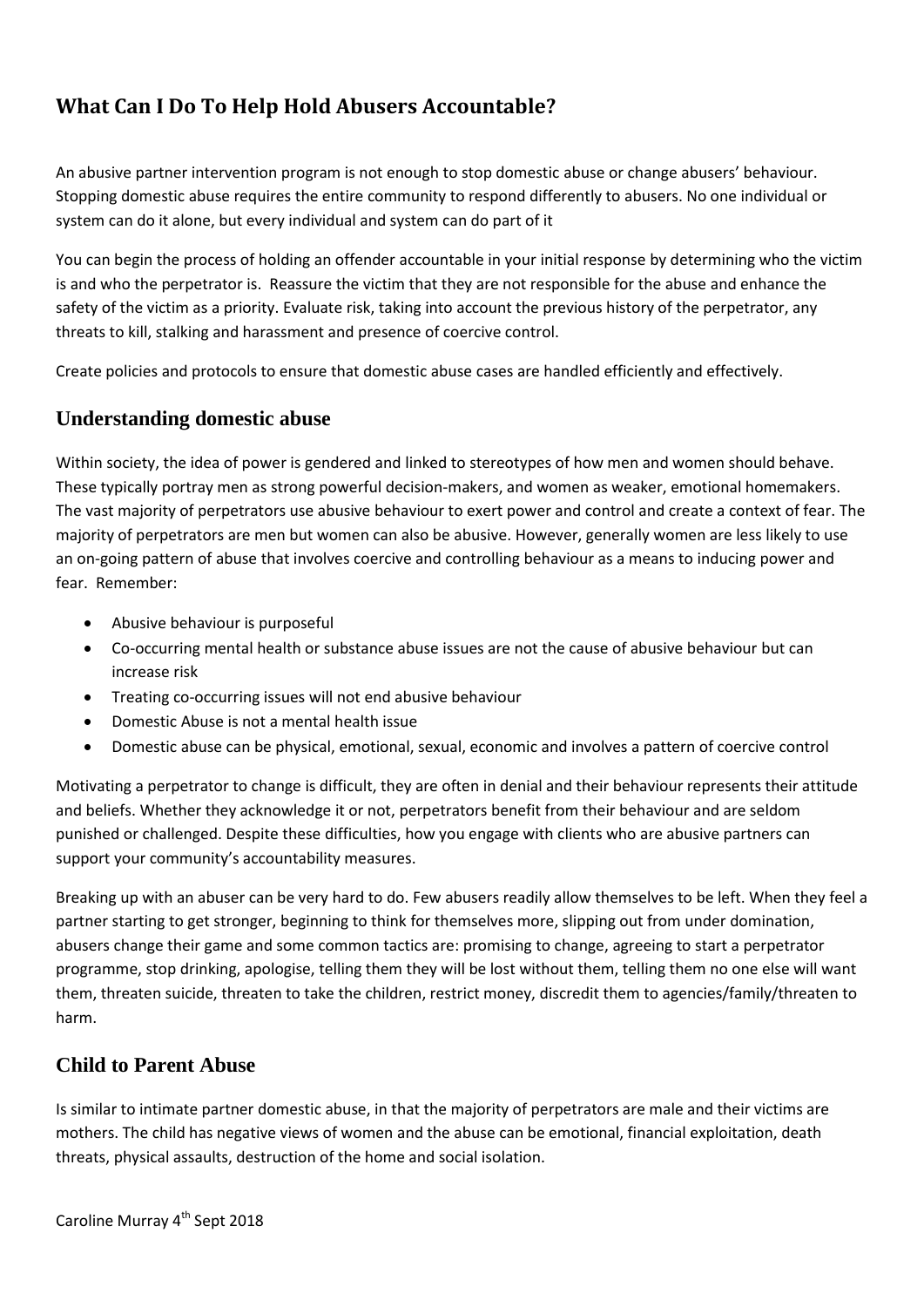# **What Can I Do To Help Hold Abusers Accountable?**

An abusive partner intervention program is not enough to stop domestic abuse or change abusers' behaviour. Stopping domestic abuse requires the entire community to respond differently to abusers. No one individual or system can do it alone, but every individual and system can do part of it

You can begin the process of holding an offender accountable in your initial response by determining who the victim is and who the perpetrator is. Reassure the victim that they are not responsible for the abuse and enhance the safety of the victim as a priority. Evaluate risk, taking into account the previous history of the perpetrator, any threats to kill, stalking and harassment and presence of coercive control.

Create policies and protocols to ensure that domestic abuse cases are handled efficiently and effectively.

#### **Understanding domestic abuse**

Within society, the idea of power is gendered and linked to stereotypes of how men and women should behave. These typically portray men as strong powerful decision-makers, and women as weaker, emotional homemakers. The vast majority of perpetrators use abusive behaviour to exert power and control and create a context of fear. The majority of perpetrators are men but women can also be abusive. However, generally women are less likely to use an on-going pattern of abuse that involves coercive and controlling behaviour as a means to inducing power and fear. Remember:

- Abusive behaviour is purposeful
- Co-occurring mental health or substance abuse issues are not the cause of abusive behaviour but can increase risk
- Treating co-occurring issues will not end abusive behaviour
- Domestic Abuse is not a mental health issue
- Domestic abuse can be physical, emotional, sexual, economic and involves a pattern of coercive control

Motivating a perpetrator to change is difficult, they are often in denial and their behaviour represents their attitude and beliefs. Whether they acknowledge it or not, perpetrators benefit from their behaviour and are seldom punished or challenged. Despite these difficulties, how you engage with clients who are abusive partners can support your community's accountability measures.

Breaking up with an abuser can be very hard to do. Few abusers readily allow themselves to be left. When they feel a partner starting to get stronger, beginning to think for themselves more, slipping out from under domination, abusers change their game and some common tactics are: promising to change, agreeing to start a perpetrator programme, stop drinking, apologise, telling them they will be lost without them, telling them no one else will want them, threaten suicide, threaten to take the children, restrict money, discredit them to agencies/family/threaten to harm.

## **Child to Parent Abuse**

Is similar to intimate partner domestic abuse, in that the majority of perpetrators are male and their victims are mothers. The child has negative views of women and the abuse can be emotional, financial exploitation, death threats, physical assaults, destruction of the home and social isolation.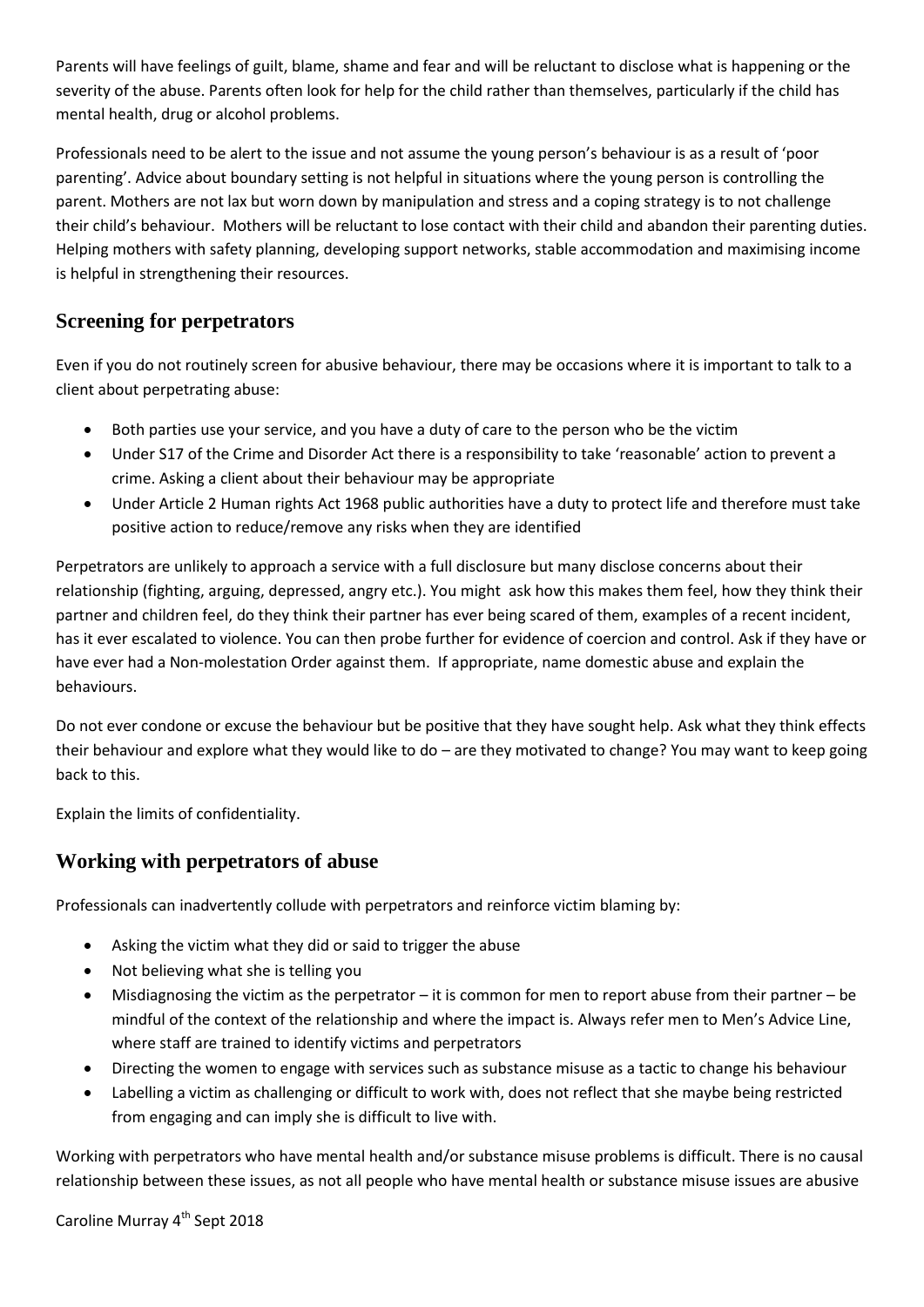Parents will have feelings of guilt, blame, shame and fear and will be reluctant to disclose what is happening or the severity of the abuse. Parents often look for help for the child rather than themselves, particularly if the child has mental health, drug or alcohol problems.

Professionals need to be alert to the issue and not assume the young person's behaviour is as a result of 'poor parenting'. Advice about boundary setting is not helpful in situations where the young person is controlling the parent. Mothers are not lax but worn down by manipulation and stress and a coping strategy is to not challenge their child's behaviour. Mothers will be reluctant to lose contact with their child and abandon their parenting duties. Helping mothers with safety planning, developing support networks, stable accommodation and maximising income is helpful in strengthening their resources.

## **Screening for perpetrators**

Even if you do not routinely screen for abusive behaviour, there may be occasions where it is important to talk to a client about perpetrating abuse:

- Both parties use your service, and you have a duty of care to the person who be the victim
- Under S17 of the Crime and Disorder Act there is a responsibility to take 'reasonable' action to prevent a crime. Asking a client about their behaviour may be appropriate
- Under Article 2 Human rights Act 1968 public authorities have a duty to protect life and therefore must take positive action to reduce/remove any risks when they are identified

Perpetrators are unlikely to approach a service with a full disclosure but many disclose concerns about their relationship (fighting, arguing, depressed, angry etc.). You might ask how this makes them feel, how they think their partner and children feel, do they think their partner has ever being scared of them, examples of a recent incident, has it ever escalated to violence. You can then probe further for evidence of coercion and control. Ask if they have or have ever had a Non-molestation Order against them. If appropriate, name domestic abuse and explain the behaviours.

Do not ever condone or excuse the behaviour but be positive that they have sought help. Ask what they think effects their behaviour and explore what they would like to do – are they motivated to change? You may want to keep going back to this.

Explain the limits of confidentiality.

#### **Working with perpetrators of abuse**

Professionals can inadvertently collude with perpetrators and reinforce victim blaming by:

- Asking the victim what they did or said to trigger the abuse
- Not believing what she is telling you
- Misdiagnosing the victim as the perpetrator it is common for men to report abuse from their partner be mindful of the context of the relationship and where the impact is. Always refer men to Men's Advice Line, where staff are trained to identify victims and perpetrators
- Directing the women to engage with services such as substance misuse as a tactic to change his behaviour
- Labelling a victim as challenging or difficult to work with, does not reflect that she maybe being restricted from engaging and can imply she is difficult to live with.

Working with perpetrators who have mental health and/or substance misuse problems is difficult. There is no causal relationship between these issues, as not all people who have mental health or substance misuse issues are abusive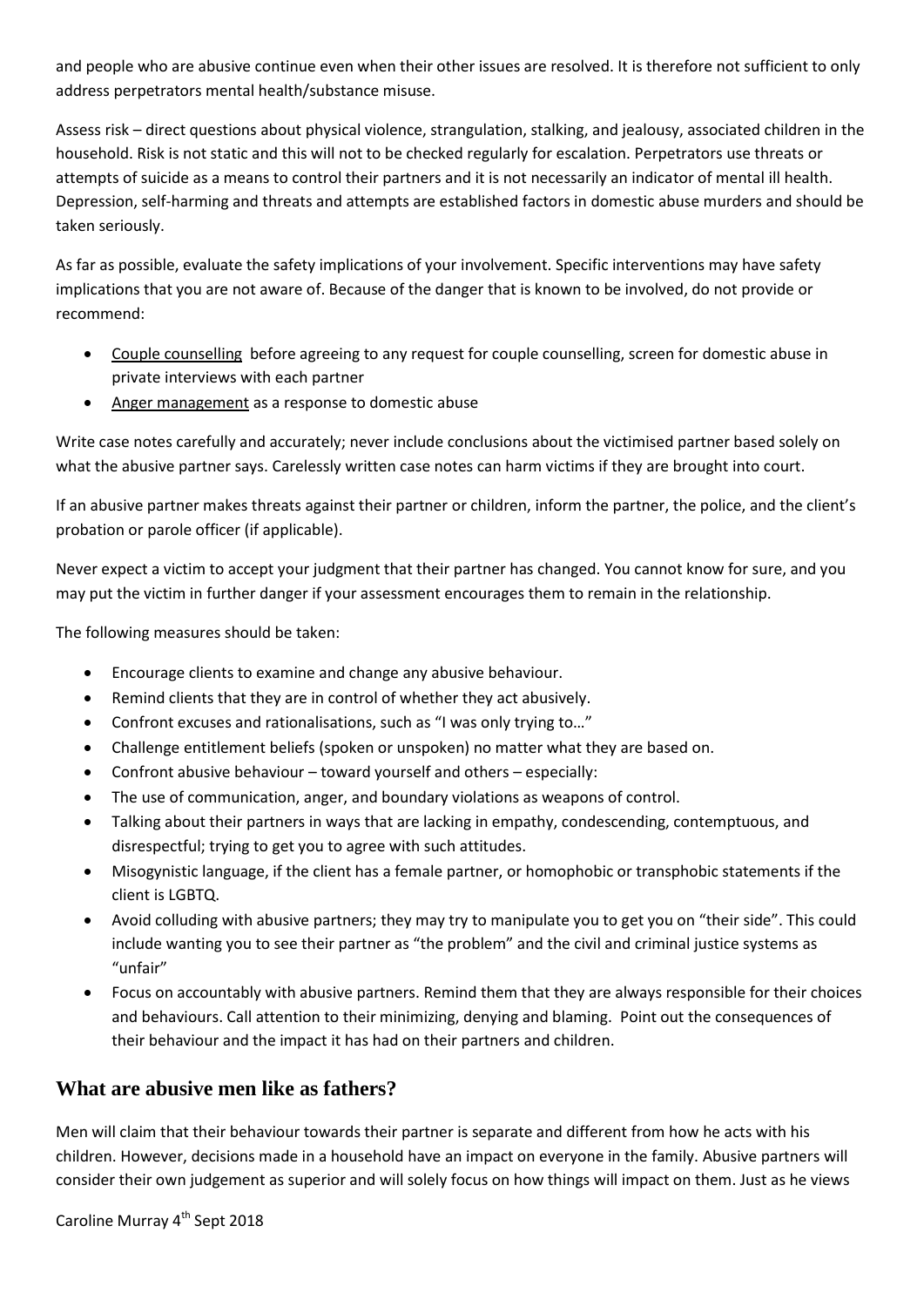and people who are abusive continue even when their other issues are resolved. It is therefore not sufficient to only address perpetrators mental health/substance misuse.

Assess risk – direct questions about physical violence, strangulation, stalking, and jealousy, associated children in the household. Risk is not static and this will not to be checked regularly for escalation. Perpetrators use threats or attempts of suicide as a means to control their partners and it is not necessarily an indicator of mental ill health. Depression, self-harming and threats and attempts are established factors in domestic abuse murders and should be taken seriously.

As far as possible, evaluate the safety implications of your involvement. Specific interventions may have safety implications that you are not aware of. Because of the danger that is known to be involved, do not provide or recommend:

- Couple counselling before agreeing to any request for couple counselling, screen for domestic abuse in private interviews with each partner
- Anger management as a response to domestic abuse

Write case notes carefully and accurately; never include conclusions about the victimised partner based solely on what the abusive partner says. Carelessly written case notes can harm victims if they are brought into court.

If an abusive partner makes threats against their partner or children, inform the partner, the police, and the client's probation or parole officer (if applicable).

Never expect a victim to accept your judgment that their partner has changed. You cannot know for sure, and you may put the victim in further danger if your assessment encourages them to remain in the relationship.

The following measures should be taken:

- Encourage clients to examine and change any abusive behaviour.
- Remind clients that they are in control of whether they act abusively.
- Confront excuses and rationalisations, such as "I was only trying to…"
- Challenge entitlement beliefs (spoken or unspoken) no matter what they are based on.
- Confront abusive behaviour toward yourself and others especially:
- The use of communication, anger, and boundary violations as weapons of control.
- Talking about their partners in ways that are lacking in empathy, condescending, contemptuous, and disrespectful; trying to get you to agree with such attitudes.
- Misogynistic language, if the client has a female partner, or homophobic or transphobic statements if the client is LGBTQ.
- Avoid colluding with abusive partners; they may try to manipulate you to get you on "their side". This could include wanting you to see their partner as "the problem" and the civil and criminal justice systems as "unfair"
- Focus on accountably with abusive partners. Remind them that they are always responsible for their choices and behaviours. Call attention to their minimizing, denying and blaming. Point out the consequences of their behaviour and the impact it has had on their partners and children.

#### **What are abusive men like as fathers?**

Men will claim that their behaviour towards their partner is separate and different from how he acts with his children. However, decisions made in a household have an impact on everyone in the family. Abusive partners will consider their own judgement as superior and will solely focus on how things will impact on them. Just as he views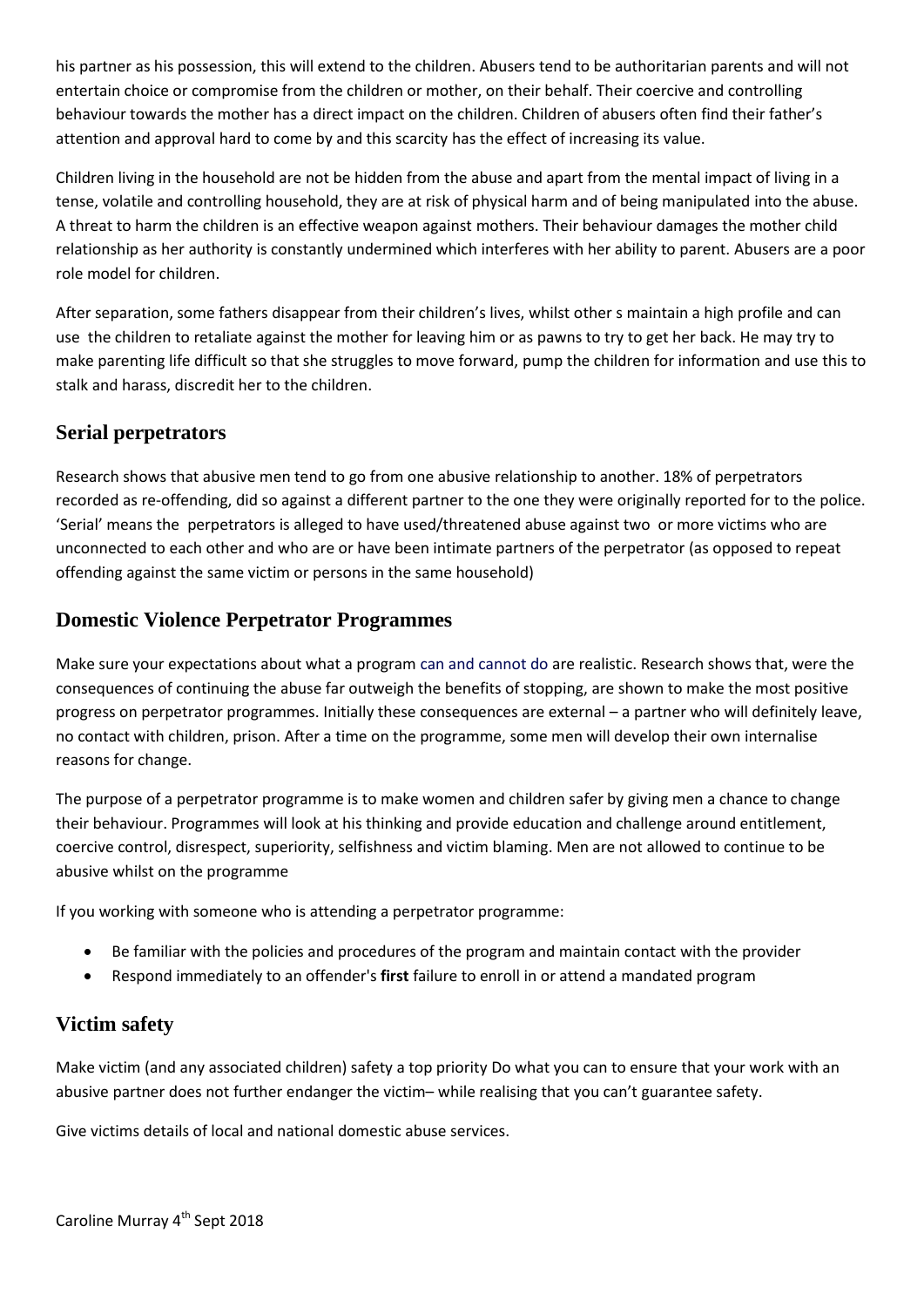his partner as his possession, this will extend to the children. Abusers tend to be authoritarian parents and will not entertain choice or compromise from the children or mother, on their behalf. Their coercive and controlling behaviour towards the mother has a direct impact on the children. Children of abusers often find their father's attention and approval hard to come by and this scarcity has the effect of increasing its value.

Children living in the household are not be hidden from the abuse and apart from the mental impact of living in a tense, volatile and controlling household, they are at risk of physical harm and of being manipulated into the abuse. A threat to harm the children is an effective weapon against mothers. Their behaviour damages the mother child relationship as her authority is constantly undermined which interferes with her ability to parent. Abusers are a poor role model for children.

After separation, some fathers disappear from their children's lives, whilst other s maintain a high profile and can use the children to retaliate against the mother for leaving him or as pawns to try to get her back. He may try to make parenting life difficult so that she struggles to move forward, pump the children for information and use this to stalk and harass, discredit her to the children.

## **Serial perpetrators**

Research shows that abusive men tend to go from one abusive relationship to another. 18% of perpetrators recorded as re-offending, did so against a different partner to the one they were originally reported for to the police. 'Serial' means the perpetrators is alleged to have used/threatened abuse against two or more victims who are unconnected to each other and who are or have been intimate partners of the perpetrator (as opposed to repeat offending against the same victim or persons in the same household)

## **Domestic Violence Perpetrator Programmes**

Make sure your expectations about what a progra[m can and cannot do](http://www.opdv.ny.gov/professionals/abusers/APIPguidelines/what-programs-can-cannot.html) are realistic. Research shows that, were the consequences of continuing the abuse far outweigh the benefits of stopping, are shown to make the most positive progress on perpetrator programmes. Initially these consequences are external – a partner who will definitely leave, no contact with children, prison. After a time on the programme, some men will develop their own internalise reasons for change.

The purpose of a perpetrator programme is to make women and children safer by giving men a chance to change their behaviour. Programmes will look at his thinking and provide education and challenge around entitlement, coercive control, disrespect, superiority, selfishness and victim blaming. Men are not allowed to continue to be abusive whilst on the programme

If you working with someone who is attending a perpetrator programme:

- Be familiar with the policies and procedures of the program and maintain contact with the provider
- Respond immediately to an offender's **first** failure to enroll in or attend a mandated program

## **Victim safety**

Make victim (and any associated children) safety a top priority Do what you can to ensure that your work with an abusive partner does not further endanger the victim– while realising that you can't guarantee safety.

Give victims details of local and national domestic abuse services.